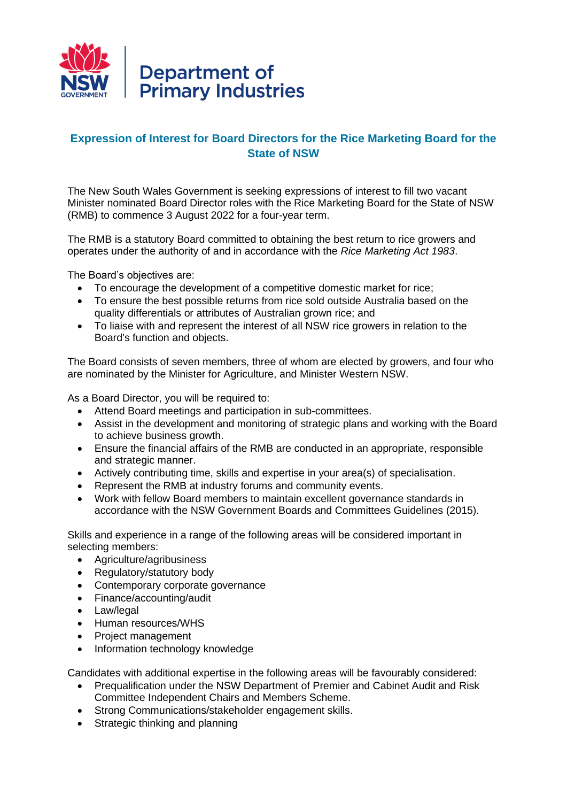

## **Expression of Interest for Board Directors for the Rice Marketing Board for the State of NSW**

The New South Wales Government is seeking expressions of interest to fill two vacant Minister nominated Board Director roles with the Rice Marketing Board for the State of NSW (RMB) to commence 3 August 2022 for a four-year term.

The RMB is a statutory Board committed to obtaining the best return to rice growers and operates under the authority of and in accordance with the *Rice Marketing Act 1983*.

The Board's objectives are:

- To encourage the development of a competitive domestic market for rice;
- To ensure the best possible returns from rice sold outside Australia based on the quality differentials or attributes of Australian grown rice; and
- To liaise with and represent the interest of all NSW rice growers in relation to the Board's function and objects.

The Board consists of seven members, three of whom are elected by growers, and four who are nominated by the Minister for Agriculture, and Minister Western NSW.

As a Board Director, you will be required to:

- Attend Board meetings and participation in sub-committees.
- Assist in the development and monitoring of strategic plans and working with the Board to achieve business growth.
- Ensure the financial affairs of the RMB are conducted in an appropriate, responsible and strategic manner.
- Actively contributing time, skills and expertise in your area(s) of specialisation.
- Represent the RMB at industry forums and community events.
- Work with fellow Board members to maintain excellent governance standards in accordance with the NSW Government Boards and Committees Guidelines (2015).

Skills and experience in a range of the following areas will be considered important in selecting members:

- Agriculture/agribusiness
- Regulatory/statutory body
- Contemporary corporate governance
- Finance/accounting/audit
- Law/legal
- Human resources/WHS
- Project management
- Information technology knowledge

Candidates with additional expertise in the following areas will be favourably considered:

- Prequalification under the NSW Department of Premier and Cabinet Audit and Risk Committee Independent Chairs and Members Scheme.
- Strong Communications/stakeholder engagement skills.
- Strategic thinking and planning